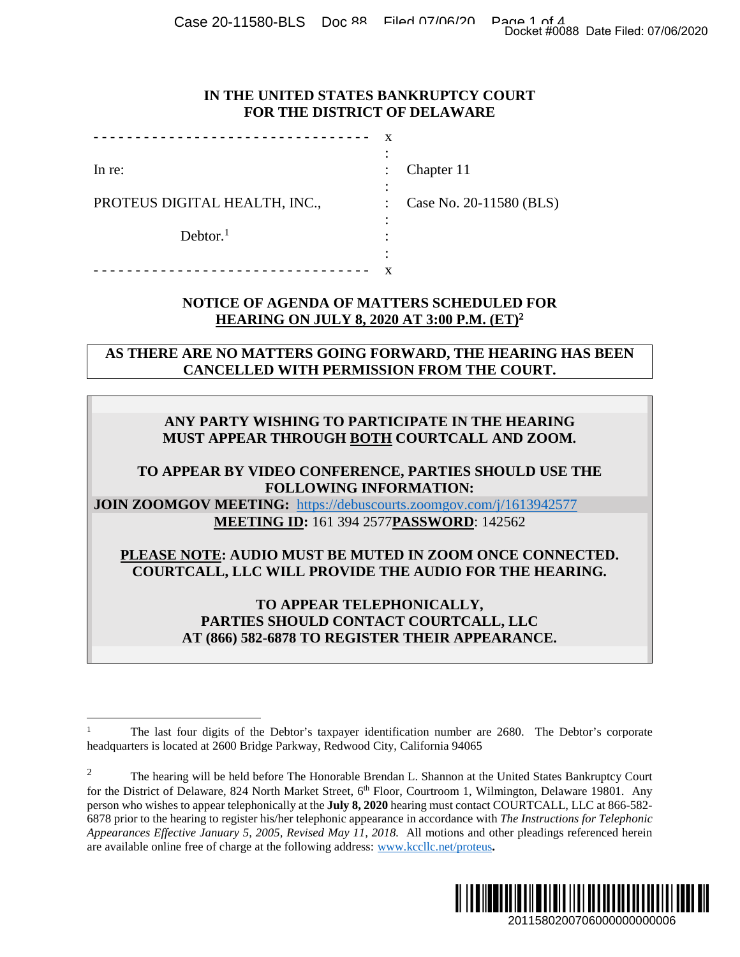Case 20-11580-BLS Doc 88 Filed 07/06/20 Page 1 of 4<br>Docket #0088 Date Filed: 07/06/2020

#### **IN THE UNITED STATES BANKRUPTCY COURT FOR THE DISTRICT OF DELAWARE**

| In re:                        | $\ddot{\phantom{a}}$ | Chapter 11              |
|-------------------------------|----------------------|-------------------------|
|                               |                      |                         |
| PROTEUS DIGITAL HEALTH, INC., |                      | Case No. 20-11580 (BLS) |
|                               |                      |                         |
| Dektor. <sup>1</sup>          |                      |                         |
|                               | ٠                    |                         |
|                               |                      |                         |

## **NOTICE OF AGENDA OF MATTERS SCHEDULED FOR HEARING ON JULY 8, 2020 AT 3:00 P.M. (ET)<sup>2</sup>**

**AS THERE ARE NO MATTERS GOING FORWARD, THE HEARING HAS BEEN CANCELLED WITH PERMISSION FROM THE COURT.** 

# **ANY PARTY WISHING TO PARTICIPATE IN THE HEARING MUST APPEAR THROUGH BOTH COURTCALL AND ZOOM.**

# **TO APPEAR BY VIDEO CONFERENCE, PARTIES SHOULD USE THE FOLLOWING INFORMATION:**

**JOIN ZOOMGOV MEETING:** https://debuscourts.zoomgov.com/j/1613942577 **MEETING ID:** 161 394 2577**PASSWORD**: 142562

**PLEASE NOTE: AUDIO MUST BE MUTED IN ZOOM ONCE CONNECTED. COURTCALL, LLC WILL PROVIDE THE AUDIO FOR THE HEARING.** 

> **TO APPEAR TELEPHONICALLY, PARTIES SHOULD CONTACT COURTCALL, LLC AT (866) 582-6878 TO REGISTER THEIR APPEARANCE.**

<sup>&</sup>lt;sup>2</sup> The hearing will be held before The Honorable Brendan L. Shannon at the United States Bankruptcy Court for the District of Delaware, 824 North Market Street, 6<sup>th</sup> Floor, Courtroom 1, Wilmington, Delaware 19801. Any person who wishes to appear telephonically at the **July 8, 2020** hearing must contact COURTCALL, LLC at 866-582- 6878 prior to the hearing to register his/her telephonic appearance in accordance with *The Instructions for Telephonic Appearances Effective January 5, 2005, Revised May 11, 2018.* All motions and other pleadings referenced herein are available online free of charge at the following address: www.kccllc.net/proteus**.**  2011580200706000000000006 Docket #0088 Date Filed: 07/06/2020



<sup>1</sup> The last four digits of the Debtor's taxpayer identification number are 2680. The Debtor's corporate headquarters is located at 2600 Bridge Parkway, Redwood City, California 94065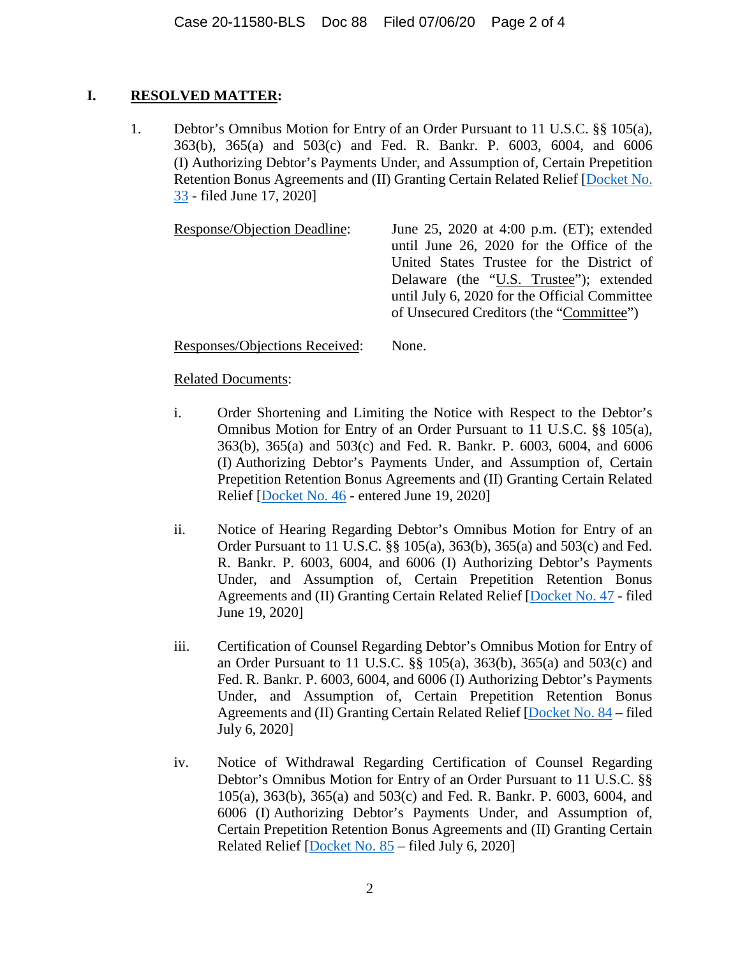# **I. RESOLVED MATTER:**

1. Debtor's Omnibus Motion for Entry of an Order Pursuant to 11 U.S.C. §§ 105(a), 363(b), 365(a) and 503(c) and Fed. R. Bankr. P. 6003, 6004, and 6006 (I) Authorizing Debtor's Payments Under, and Assumption of, Certain Prepetition Retention Bonus Agreements and (II) Granting Certain Related Relief [Docket No. 33 - filed June 17, 2020]

Response/Objection Deadline: June 25, 2020 at 4:00 p.m. (ET); extended until June 26, 2020 for the Office of the United States Trustee for the District of Delaware (the "U.S. Trustee"); extended until July 6, 2020 for the Official Committee of Unsecured Creditors (the "Committee")

Responses/Objections Received: None.

## Related Documents:

- i. Order Shortening and Limiting the Notice with Respect to the Debtor's Omnibus Motion for Entry of an Order Pursuant to 11 U.S.C. §§ 105(a), 363(b), 365(a) and 503(c) and Fed. R. Bankr. P. 6003, 6004, and 6006 (I) Authorizing Debtor's Payments Under, and Assumption of, Certain Prepetition Retention Bonus Agreements and (II) Granting Certain Related Relief [Docket No. 46 - entered June 19, 2020]
- ii. Notice of Hearing Regarding Debtor's Omnibus Motion for Entry of an Order Pursuant to 11 U.S.C. §§ 105(a), 363(b), 365(a) and 503(c) and Fed. R. Bankr. P. 6003, 6004, and 6006 (I) Authorizing Debtor's Payments Under, and Assumption of, Certain Prepetition Retention Bonus Agreements and (II) Granting Certain Related Relief [Docket No. 47 - filed June 19, 2020]
- iii. Certification of Counsel Regarding Debtor's Omnibus Motion for Entry of an Order Pursuant to 11 U.S.C. §§ 105(a), 363(b), 365(a) and 503(c) and Fed. R. Bankr. P. 6003, 6004, and 6006 (I) Authorizing Debtor's Payments Under, and Assumption of, Certain Prepetition Retention Bonus Agreements and (II) Granting Certain Related Relief [Docket No. 84 – filed July 6, 2020]
- iv. Notice of Withdrawal Regarding Certification of Counsel Regarding Debtor's Omnibus Motion for Entry of an Order Pursuant to 11 U.S.C. §§ 105(a), 363(b), 365(a) and 503(c) and Fed. R. Bankr. P. 6003, 6004, and 6006 (I) Authorizing Debtor's Payments Under, and Assumption of, Certain Prepetition Retention Bonus Agreements and (II) Granting Certain Related Relief [Docket No. 85 – filed July 6, 2020]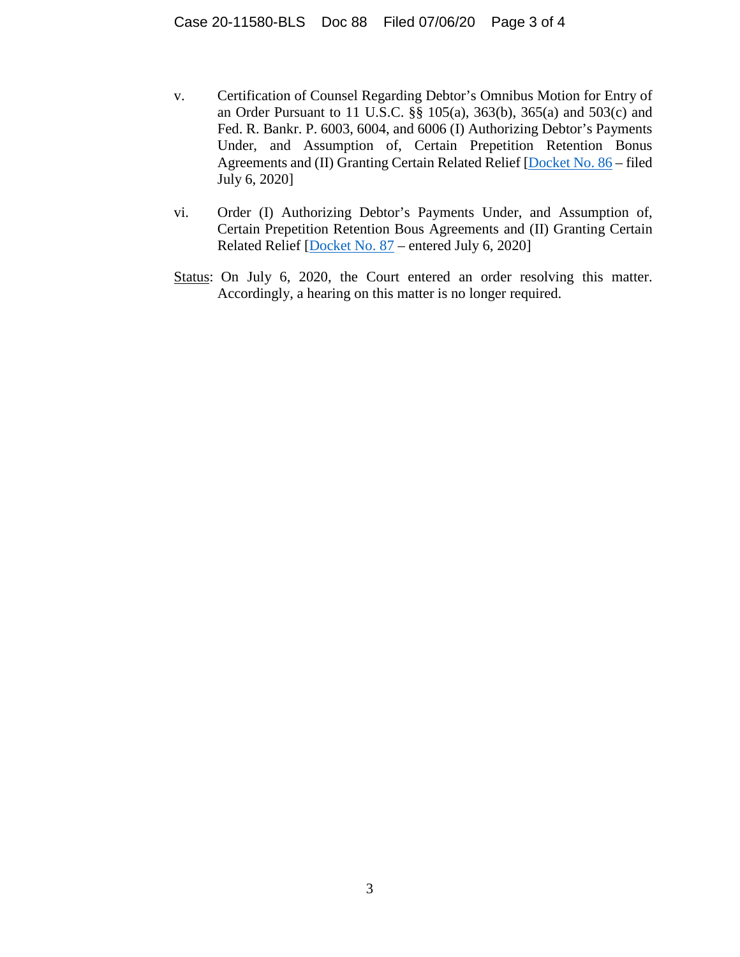- v. Certification of Counsel Regarding Debtor's Omnibus Motion for Entry of an Order Pursuant to 11 U.S.C. §§ 105(a), 363(b), 365(a) and 503(c) and Fed. R. Bankr. P. 6003, 6004, and 6006 (I) Authorizing Debtor's Payments Under, and Assumption of, Certain Prepetition Retention Bonus Agreements and (II) Granting Certain Related Relief [Docket No. 86 – filed July 6, 2020]
- vi. Order (I) Authorizing Debtor's Payments Under, and Assumption of, Certain Prepetition Retention Bous Agreements and (II) Granting Certain Related Relief [Docket No. 87 – entered July 6, 2020]
- Status: On July 6, 2020, the Court entered an order resolving this matter. Accordingly, a hearing on this matter is no longer required.